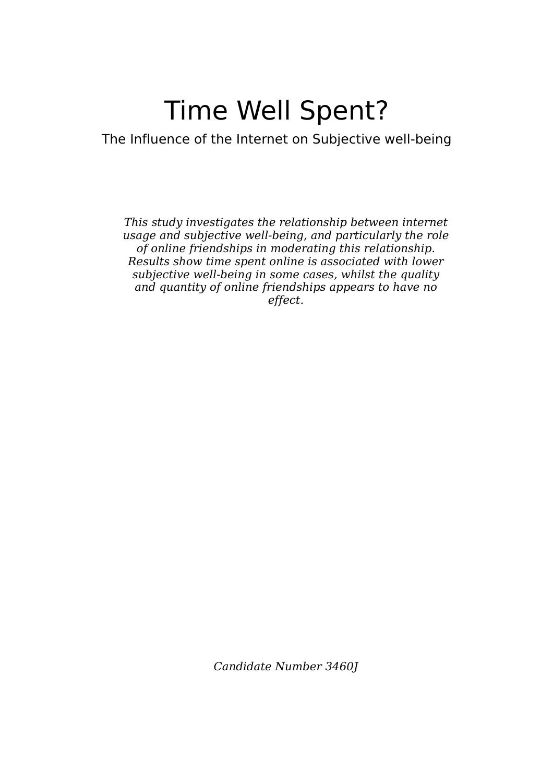# Time Well Spent?

The Influence of the Internet on Subjective well-being

This study investigates the relationship between internet usage and subjective well-being, and particularly the role of online friendships in moderating this relationship. Results show time spent online is associated with lower subjective well-being in some cases, whilst the quality and quantity of online friendships appears to have no effect.

Candidate Number 3460J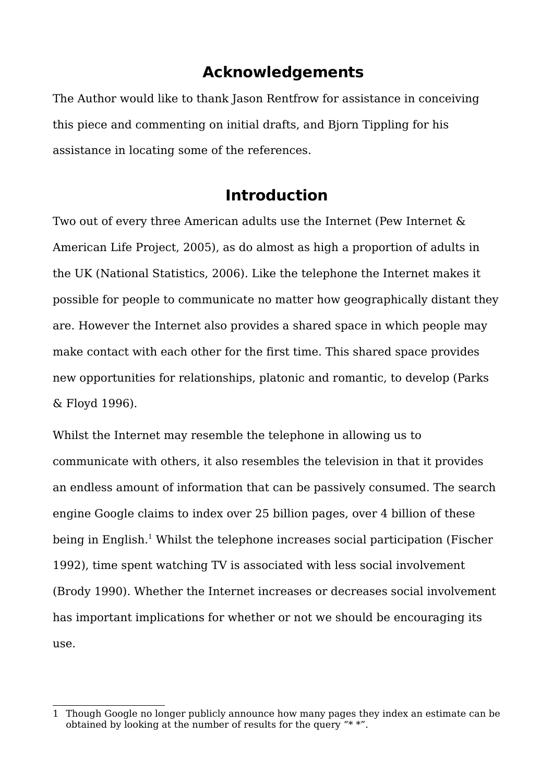## **Acknowledgements**

The Author would like to thank Jason Rentfrow for assistance in conceiving this piece and commenting on initial drafts, and Bjorn Tippling for his assistance in locating some of the references.

## **Introduction**

Two out of every three American adults use the Internet (Pew Internet & American Life Project, 2005), as do almost as high a proportion of adults in the UK (National Statistics, 2006). Like the telephone the Internet makes it possible for people to communicate no matter how geographically distant they are. However the Internet also provides a shared space in which people may make contact with each other for the first time. This shared space provides new opportunities for relationships, platonic and romantic, to develop (Parks & Floyd 1996).

Whilst the Internet may resemble the telephone in allowing us to communicate with others, it also resembles the television in that it provides an endless amount of information that can be passively consumed. The search engine Google claims to index over 25 billion pages, over 4 billion of these being in English. [1](#page-1-0) Whilst the telephone increases social participation (Fischer 1992), time spent watching TV is associated with less social involvement (Brody 1990). Whether the Internet increases or decreases social involvement has important implications for whether or not we should be encouraging its use.

<span id="page-1-0"></span><sup>1</sup> Though Google no longer publicly announce how many pages they index an estimate can be obtained by looking at the number of results for the query "\* \*".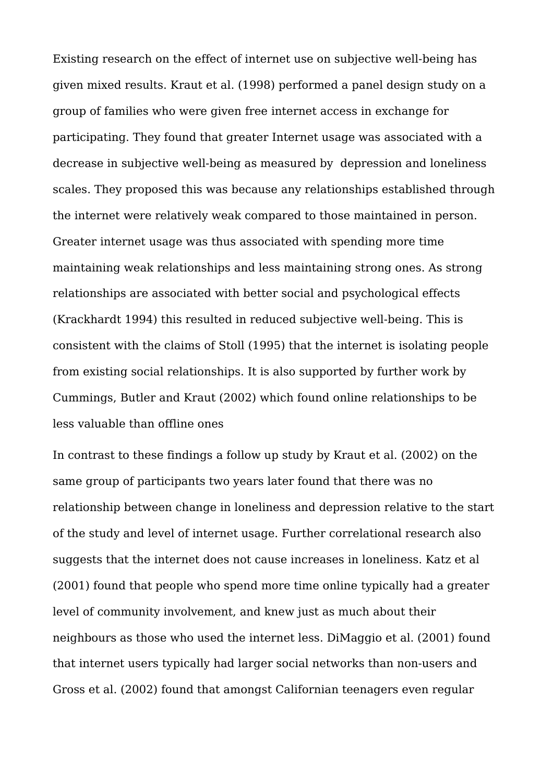Existing research on the effect of internet use on subjective well-being has given mixed results. Kraut et al. (1998) performed a panel design study on a group of families who were given free internet access in exchange for participating. They found that greater Internet usage was associated with a decrease in subjective well-being as measured by depression and loneliness scales. They proposed this was because any relationships established through the internet were relatively weak compared to those maintained in person. Greater internet usage was thus associated with spending more time maintaining weak relationships and less maintaining strong ones. As strong relationships are associated with better social and psychological effects (Krackhardt 1994) this resulted in reduced subjective well-being. This is consistent with the claims of Stoll (1995) that the internet is isolating people from existing social relationships. It is also supported by further work by Cummings, Butler and Kraut (2002) which found online relationships to be less valuable than offline ones

In contrast to these findings a follow up study by Kraut et al. (2002) on the same group of participants two years later found that there was no relationship between change in loneliness and depression relative to the start of the study and level of internet usage. Further correlational research also suggests that the internet does not cause increases in loneliness. Katz et al (2001) found that people who spend more time online typically had a greater level of community involvement, and knew just as much about their neighbours as those who used the internet less. DiMaggio et al. (2001) found that internet users typically had larger social networks than non-users and Gross et al. (2002) found that amongst Californian teenagers even regular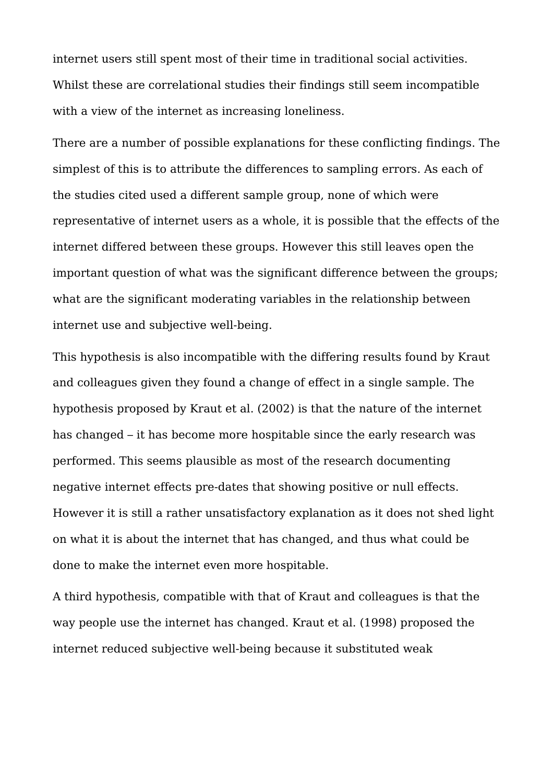internet users still spent most of their time in traditional social activities. Whilst these are correlational studies their findings still seem incompatible with a view of the internet as increasing loneliness.

There are a number of possible explanations for these conflicting findings. The simplest of this is to attribute the differences to sampling errors. As each of the studies cited used a different sample group, none of which were representative of internet users as a whole, it is possible that the effects of the internet differed between these groups. However this still leaves open the important question of what was the significant difference between the groups; what are the significant moderating variables in the relationship between internet use and subjective well-being.

This hypothesis is also incompatible with the differing results found by Kraut and colleagues given they found a change of effect in a single sample. The hypothesis proposed by Kraut et al. (2002) is that the nature of the internet has changed – it has become more hospitable since the early research was performed. This seems plausible as most of the research documenting negative internet effects pre-dates that showing positive or null effects. However it is still a rather unsatisfactory explanation as it does not shed light on what it is about the internet that has changed, and thus what could be done to make the internet even more hospitable.

A third hypothesis, compatible with that of Kraut and colleagues is that the way people use the internet has changed. Kraut et al. (1998) proposed the internet reduced subjective well-being because it substituted weak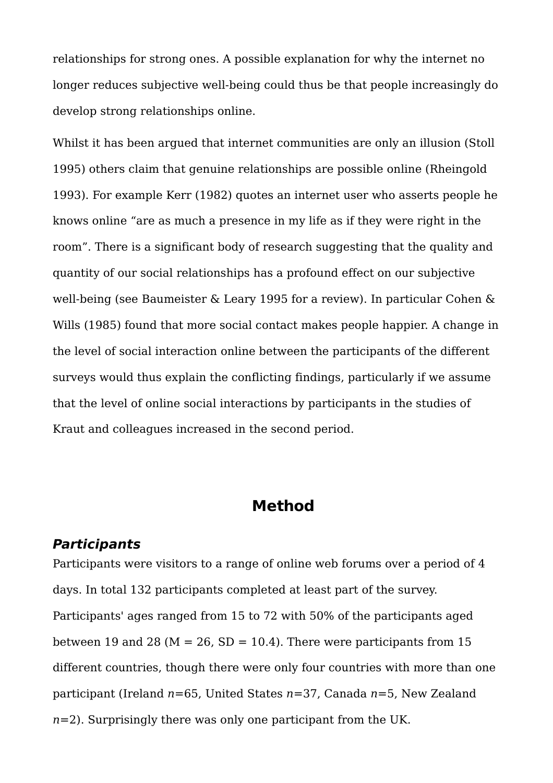relationships for strong ones. A possible explanation for why the internet no longer reduces subjective well-being could thus be that people increasingly do develop strong relationships online.

Whilst it has been argued that internet communities are only an illusion (Stoll 1995) others claim that genuine relationships are possible online (Rheingold 1993). For example Kerr (1982) quotes an internet user who asserts people he knows online "are as much a presence in my life as if they were right in the room". There is a significant body of research suggesting that the quality and quantity of our social relationships has a profound effect on our subjective well-being (see Baumeister & Leary 1995 for a review). In particular Cohen & Wills (1985) found that more social contact makes people happier. A change in the level of social interaction online between the participants of the different surveys would thus explain the conflicting findings, particularly if we assume that the level of online social interactions by participants in the studies of Kraut and colleagues increased in the second period.

## **Method**

#### **Participants**

Participants were visitors to a range of online web forums over a period of 4 days. In total 132 participants completed at least part of the survey. Participants' ages ranged from 15 to 72 with 50% of the participants aged between 19 and 28 ( $M = 26$ , SD = 10.4). There were participants from 15 different countries, though there were only four countries with more than one participant (Ireland  $n=65$ , United States  $n=37$ , Canada  $n=5$ , New Zealand  $n=2$ ). Surprisingly there was only one participant from the UK.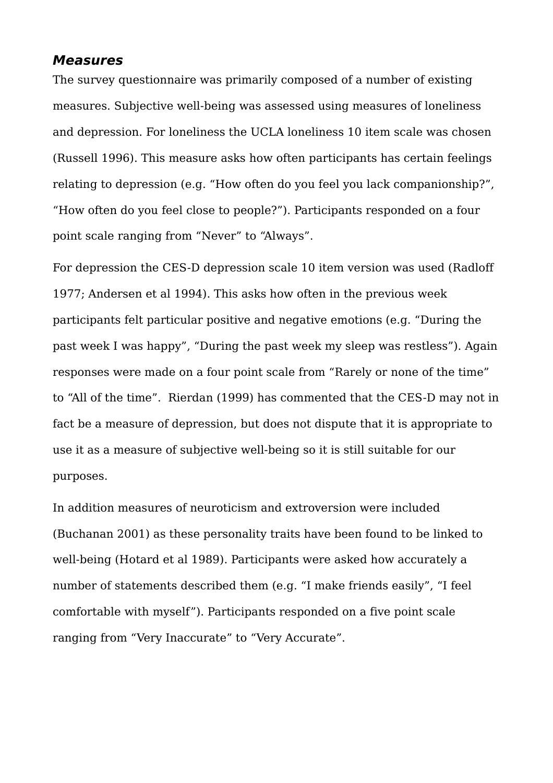#### **Measures**

The survey questionnaire was primarily composed of a number of existing measures. Subjective well-being was assessed using measures of loneliness and depression. For loneliness the UCLA loneliness 10 item scale was chosen (Russell 1996). This measure asks how often participants has certain feelings relating to depression (e.g. "How often do you feel you lack companionship?", "How often do you feel close to people?"). Participants responded on a four point scale ranging from "Never" to "Always".

For depression the CES-D depression scale 10 item version was used (Radloff 1977; Andersen et al 1994). This asks how often in the previous week participants felt particular positive and negative emotions (e.g. "During the past week I was happy", "During the past week my sleep was restless"). Again responses were made on a four point scale from "Rarely or none of the time" to "All of the time". Rierdan (1999) has commented that the CES-D may not in fact be a measure of depression, but does not dispute that it is appropriate to use it as a measure of subjective well-being so it is still suitable for our purposes.

In addition measures of neuroticism and extroversion were included (Buchanan 2001) as these personality traits have been found to be linked to well-being (Hotard et al 1989). Participants were asked how accurately a number of statements described them (e.g. "I make friends easily", "I feel comfortable with myself"). Participants responded on a five point scale ranging from "Very Inaccurate" to "Very Accurate".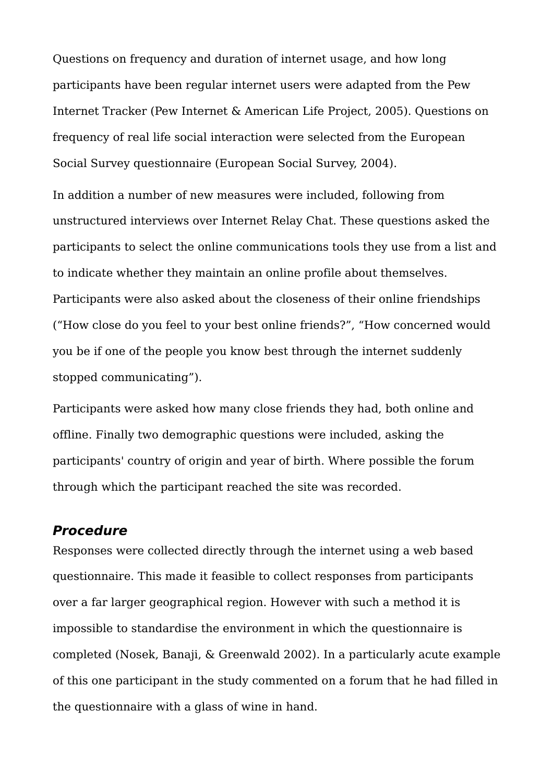Questions on frequency and duration of internet usage, and how long participants have been regular internet users were adapted from the Pew Internet Tracker (Pew Internet & American Life Project, 2005). Questions on frequency of real life social interaction were selected from the European Social Survey questionnaire (European Social Survey, 2004).

In addition a number of new measures were included, following from unstructured interviews over Internet Relay Chat. These questions asked the participants to select the online communications tools they use from a list and to indicate whether they maintain an online profile about themselves. Participants were also asked about the closeness of their online friendships ("How close do you feel to your best online friends?", "How concerned would you be if one of the people you know best through the internet suddenly stopped communicating").

Participants were asked how many close friends they had, both online and offline. Finally two demographic questions were included, asking the participants' country of origin and year of birth. Where possible the forum through which the participant reached the site was recorded.

#### **Procedure**

Responses were collected directly through the internet using a web based questionnaire. This made it feasible to collect responses from participants over a far larger geographical region. However with such a method it is impossible to standardise the environment in which the questionnaire is completed (Nosek, Banaji, & Greenwald 2002). In a particularly acute example of this one participant in the study commented on a forum that he had filled in the questionnaire with a glass of wine in hand.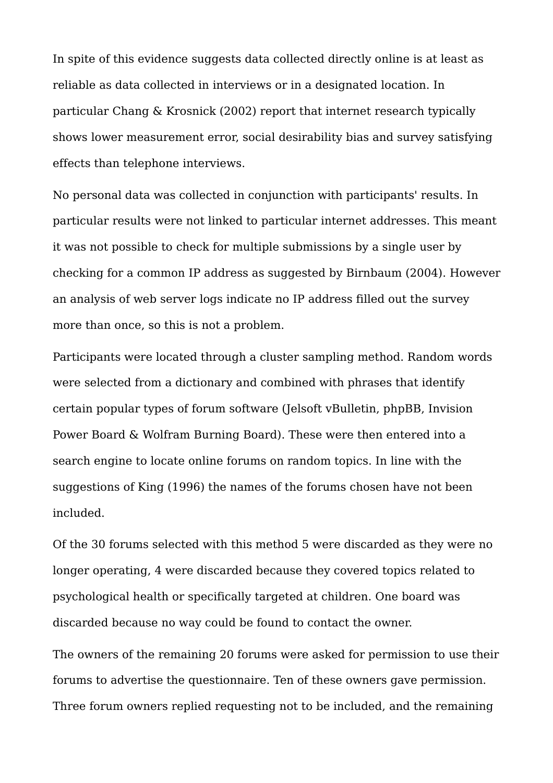In spite of this evidence suggests data collected directly online is at least as reliable as data collected in interviews or in a designated location. In particular Chang & Krosnick (2002) report that internet research typically shows lower measurement error, social desirability bias and survey satisfying effects than telephone interviews.

No personal data was collected in conjunction with participants' results. In particular results were not linked to particular internet addresses. This meant it was not possible to check for multiple submissions by a single user by checking for a common IP address as suggested by Birnbaum (2004). However an analysis of web server logs indicate no IP address filled out the survey more than once, so this is not a problem.

Participants were located through a cluster sampling method. Random words were selected from a dictionary and combined with phrases that identify certain popular types of forum software (Jelsoft vBulletin, phpBB, Invision Power Board & Wolfram Burning Board). These were then entered into a search engine to locate online forums on random topics. In line with the suggestions of King (1996) the names of the forums chosen have not been included.

Of the 30 forums selected with this method 5 were discarded as they were no longer operating, 4 were discarded because they covered topics related to psychological health or specifically targeted at children. One board was discarded because no way could be found to contact the owner.

The owners of the remaining 20 forums were asked for permission to use their forums to advertise the questionnaire. Ten of these owners gave permission. Three forum owners replied requesting not to be included, and the remaining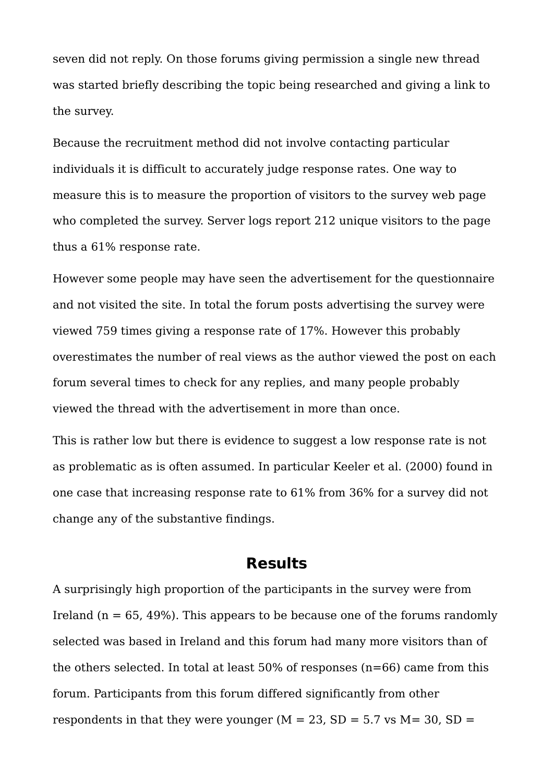seven did not reply. On those forums giving permission a single new thread was started briefly describing the topic being researched and giving a link to the survey.

Because the recruitment method did not involve contacting particular individuals it is difficult to accurately judge response rates. One way to measure this is to measure the proportion of visitors to the survey web page who completed the survey. Server logs report 212 unique visitors to the page thus a 61% response rate.

However some people may have seen the advertisement for the questionnaire and not visited the site. In total the forum posts advertising the survey were viewed 759 times giving a response rate of 17%. However this probably overestimates the number of real views as the author viewed the post on each forum several times to check for any replies, and many people probably viewed the thread with the advertisement in more than once.

This is rather low but there is evidence to suggest a low response rate is not as problematic as is often assumed. In particular Keeler et al. (2000) found in one case that increasing response rate to 61% from 36% for a survey did not change any of the substantive findings.

#### **Results**

A surprisingly high proportion of the participants in the survey were from Ireland  $(n = 65, 49\%)$ . This appears to be because one of the forums randomly selected was based in Ireland and this forum had many more visitors than of the others selected. In total at least  $50\%$  of responses (n=66) came from this forum. Participants from this forum differed significantly from other respondents in that they were younger ( $M = 23$ ,  $SD = 5.7$  vs  $M = 30$ ,  $SD =$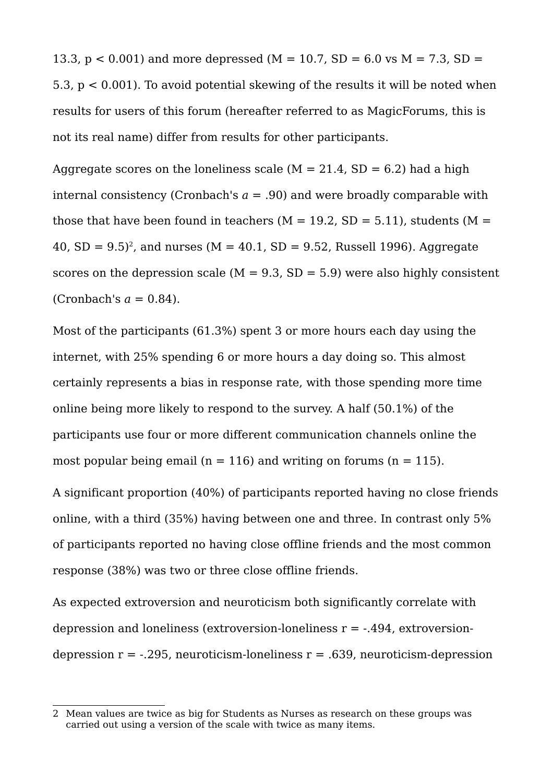13.3,  $p < 0.001$ ) and more depressed (M = 10.7, SD = 6.0 vs M = 7.3, SD = 5.3, p < 0.001). To avoid potential skewing of the results it will be noted when results for users of this forum (hereafter referred to as MagicForums, this is not its real name) differ from results for other participants.

Aggregate scores on the loneliness scale  $(M = 21.4, SD = 6.2)$  had a high internal consistency (Cronbach's  $a = .90$ ) and were broadly comparable with those that have been found in teachers  $(M = 19.2, SD = 5.11)$ , students  $(M =$ 40, SD =  $(9.5)^2$  $(9.5)^2$ , and nurses (M =  $40.1$ , SD =  $9.52$ , Russell 1996). Aggregate scores on the depression scale ( $M = 9.3$ ,  $SD = 5.9$ ) were also highly consistent (Cronbach's  $a = 0.84$ ).

Most of the participants (61.3%) spent 3 or more hours each day using the internet, with 25% spending 6 or more hours a day doing so. This almost certainly represents a bias in response rate, with those spending more time online being more likely to respond to the survey. A half (50.1%) of the participants use four or more different communication channels online the most popular being email ( $n = 116$ ) and writing on forums ( $n = 115$ ).

A significant proportion (40%) of participants reported having no close friends online, with a third (35%) having between one and three. In contrast only 5% of participants reported no having close offline friends and the most common response (38%) was two or three close offline friends.

As expected extroversion and neuroticism both significantly correlate with depression and loneliness (extroversion-loneliness  $r = -0.494$ , extroversiondepression  $r = -0.295$ , neuroticism-loneliness  $r = 0.639$ , neuroticism-depression

<span id="page-9-0"></span><sup>2</sup> Mean values are twice as big for Students as Nurses as research on these groups was carried out using a version of the scale with twice as many items.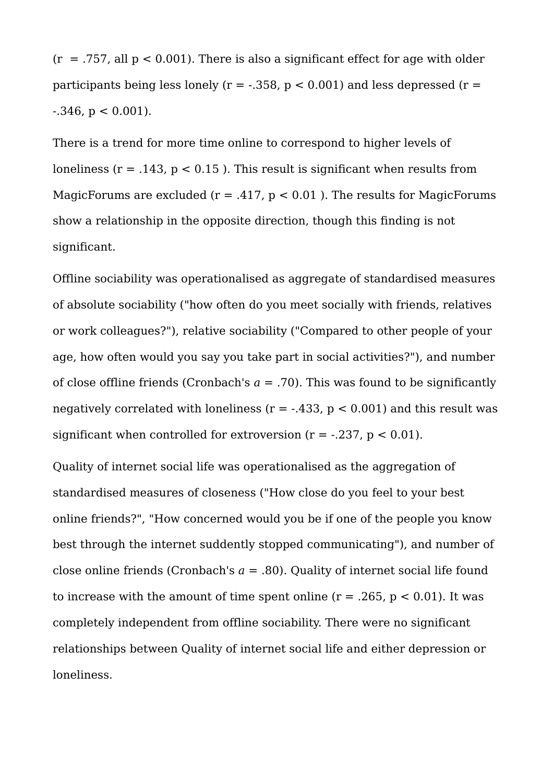$(r = .757,$  all  $p < 0.001$ ). There is also a significant effect for age with older participants being less lonely ( $r = -0.358$ ,  $p < 0.001$ ) and less depressed ( $r =$  $-0.346$ ,  $p < 0.001$ ).

There is a trend for more time online to correspond to higher levels of loneliness ( $r = .143$ ,  $p < 0.15$ ). This result is significant when results from MagicForums are excluded ( $r = .417$ ,  $p < 0.01$ ). The results for MagicForums show a relationship in the opposite direction, though this finding is not significant.

Offline sociability was operationalised as aggregate of standardised measures of absolute sociability ("how often do you meet socially with friends, relatives or work colleagues?"), relative sociability ("Compared to other people of your age, how often would you say you take part in social activities?"), and number of close offline friends (Cronbach's  $a = .70$ ). This was found to be significantly negatively correlated with loneliness ( $r = -0.433$ ,  $p < 0.001$ ) and this result was significant when controlled for extroversion  $(r = -.237, p < 0.01)$ .

Quality of internet social life was operationalised as the aggregation of standardised measures of closeness ("How close do you feel to your best online friends?", "How concerned would you be if one of the people you know best through the internet suddently stopped communicating"), and number of close online friends (Cronbach's  $a = .80$ ). Quality of internet social life found to increase with the amount of time spent online  $(r = .265, p < 0.01)$ . It was completely independent from offline sociability. There were no significant relationships between Quality of internet social life and either depression or loneliness.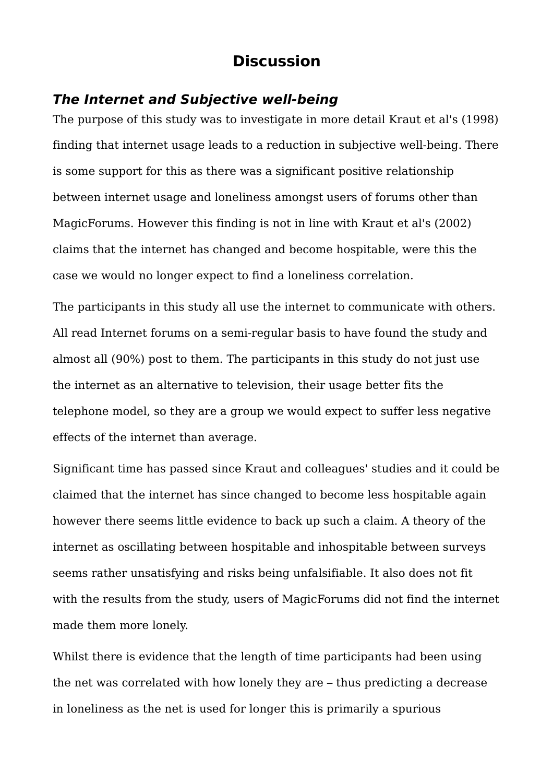## **Discussion**

### **The Internet and Subjective well-being**

The purpose of this study was to investigate in more detail Kraut et al's (1998) finding that internet usage leads to a reduction in subjective well-being. There is some support for this as there was a significant positive relationship between internet usage and loneliness amongst users of forums other than MagicForums. However this finding is not in line with Kraut et al's (2002) claims that the internet has changed and become hospitable, were this the case we would no longer expect to find a loneliness correlation.

The participants in this study all use the internet to communicate with others. All read Internet forums on a semi-regular basis to have found the study and almost all (90%) post to them. The participants in this study do not just use the internet as an alternative to television, their usage better fits the telephone model, so they are a group we would expect to suffer less negative effects of the internet than average.

Significant time has passed since Kraut and colleagues' studies and it could be claimed that the internet has since changed to become less hospitable again however there seems little evidence to back up such a claim. A theory of the internet as oscillating between hospitable and inhospitable between surveys seems rather unsatisfying and risks being unfalsifiable. It also does not fit with the results from the study, users of MagicForums did not find the internet made them more lonely.

Whilst there is evidence that the length of time participants had been using the net was correlated with how lonely they are – thus predicting a decrease in loneliness as the net is used for longer this is primarily a spurious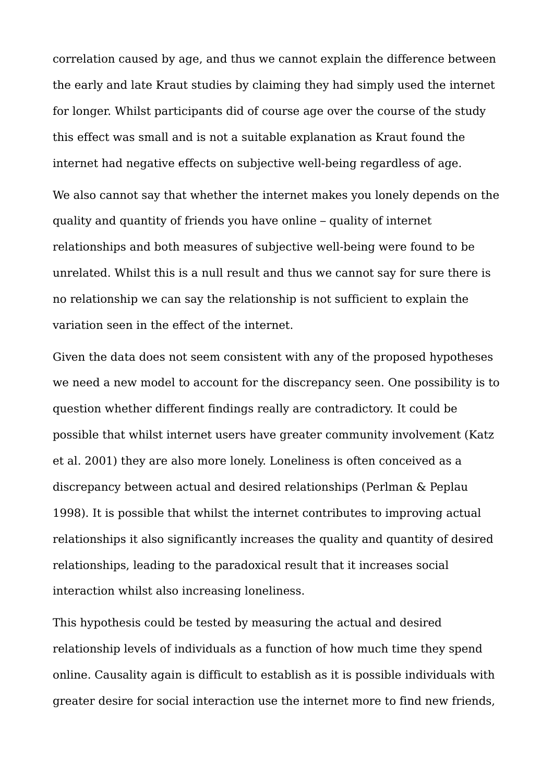correlation caused by age, and thus we cannot explain the difference between the early and late Kraut studies by claiming they had simply used the internet for longer. Whilst participants did of course age over the course of the study this effect was small and is not a suitable explanation as Kraut found the internet had negative effects on subjective well-being regardless of age. We also cannot say that whether the internet makes you lonely depends on the quality and quantity of friends you have online – quality of internet relationships and both measures of subjective well-being were found to be unrelated. Whilst this is a null result and thus we cannot say for sure there is no relationship we can say the relationship is not sufficient to explain the variation seen in the effect of the internet.

Given the data does not seem consistent with any of the proposed hypotheses we need a new model to account for the discrepancy seen. One possibility is to question whether different findings really are contradictory. It could be possible that whilst internet users have greater community involvement (Katz et al. 2001) they are also more lonely. Loneliness is often conceived as a discrepancy between actual and desired relationships (Perlman & Peplau 1998). It is possible that whilst the internet contributes to improving actual relationships it also significantly increases the quality and quantity of desired relationships, leading to the paradoxical result that it increases social interaction whilst also increasing loneliness.

This hypothesis could be tested by measuring the actual and desired relationship levels of individuals as a function of how much time they spend online. Causality again is difficult to establish as it is possible individuals with greater desire for social interaction use the internet more to find new friends,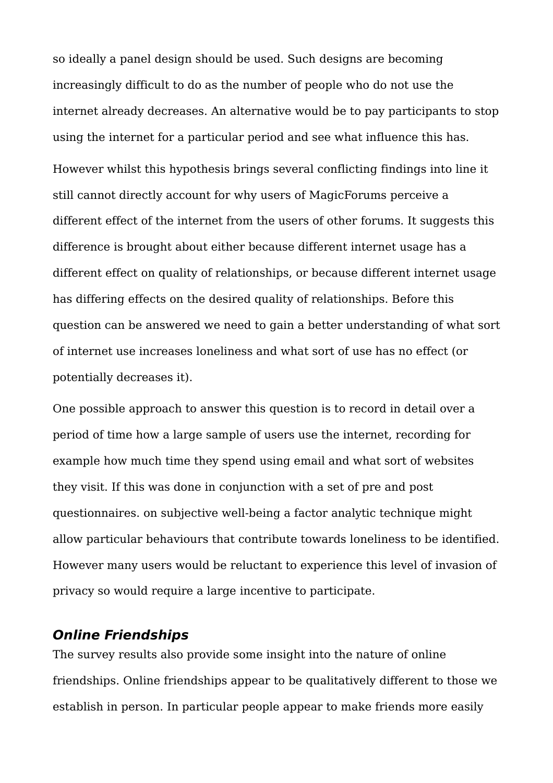so ideally a panel design should be used. Such designs are becoming increasingly difficult to do as the number of people who do not use the internet already decreases. An alternative would be to pay participants to stop using the internet for a particular period and see what influence this has. However whilst this hypothesis brings several conflicting findings into line it still cannot directly account for why users of MagicForums perceive a different effect of the internet from the users of other forums. It suggests this difference is brought about either because different internet usage has a different effect on quality of relationships, or because different internet usage has differing effects on the desired quality of relationships. Before this question can be answered we need to gain a better understanding of what sort of internet use increases loneliness and what sort of use has no effect (or potentially decreases it).

One possible approach to answer this question is to record in detail over a period of time how a large sample of users use the internet, recording for example how much time they spend using email and what sort of websites they visit. If this was done in conjunction with a set of pre and post questionnaires. on subjective well-being a factor analytic technique might allow particular behaviours that contribute towards loneliness to be identified. However many users would be reluctant to experience this level of invasion of privacy so would require a large incentive to participate.

#### **Online Friendships**

The survey results also provide some insight into the nature of online friendships. Online friendships appear to be qualitatively different to those we establish in person. In particular people appear to make friends more easily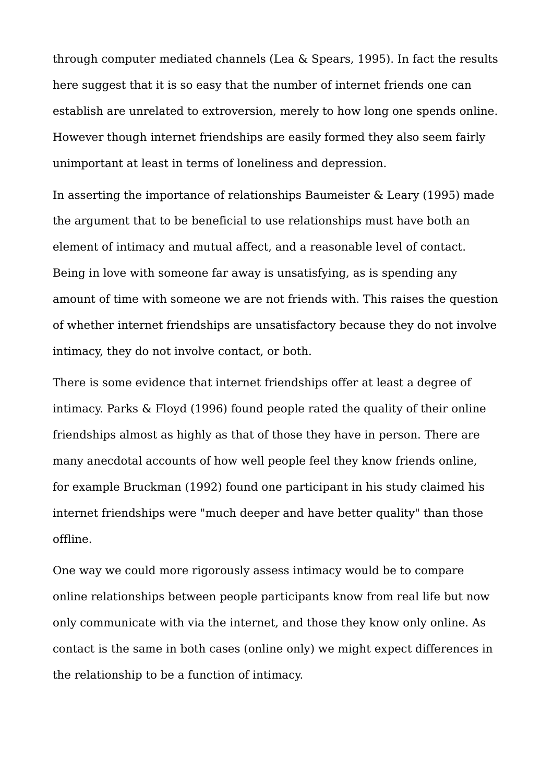through computer mediated channels (Lea & Spears, 1995). In fact the results here suggest that it is so easy that the number of internet friends one can establish are unrelated to extroversion, merely to how long one spends online. However though internet friendships are easily formed they also seem fairly unimportant at least in terms of loneliness and depression.

In asserting the importance of relationships Baumeister & Leary (1995) made the argument that to be beneficial to use relationships must have both an element of intimacy and mutual affect, and a reasonable level of contact. Being in love with someone far away is unsatisfying, as is spending any amount of time with someone we are not friends with. This raises the question of whether internet friendships are unsatisfactory because they do not involve intimacy, they do not involve contact, or both.

There is some evidence that internet friendships offer at least a degree of intimacy. Parks & Floyd (1996) found people rated the quality of their online friendships almost as highly as that of those they have in person. There are many anecdotal accounts of how well people feel they know friends online, for example Bruckman (1992) found one participant in his study claimed his internet friendships were "much deeper and have better quality" than those offline.

One way we could more rigorously assess intimacy would be to compare online relationships between people participants know from real life but now only communicate with via the internet, and those they know only online. As contact is the same in both cases (online only) we might expect differences in the relationship to be a function of intimacy.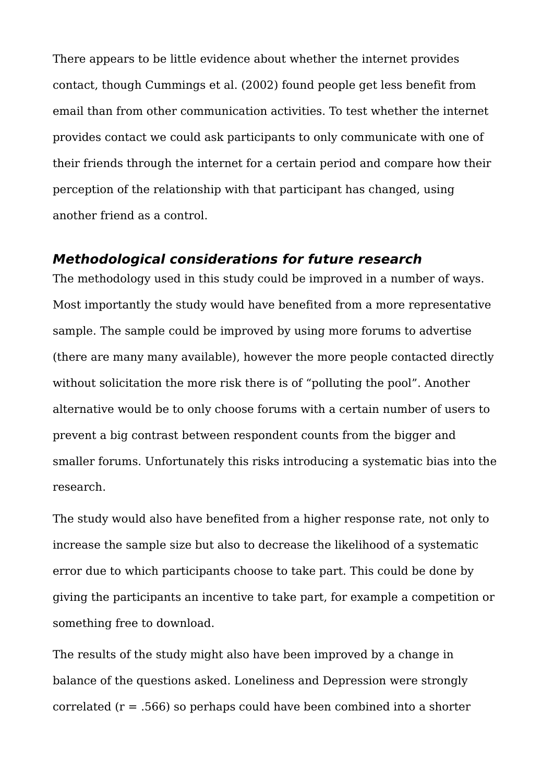There appears to be little evidence about whether the internet provides contact, though Cummings et al. (2002) found people get less benefit from email than from other communication activities. To test whether the internet provides contact we could ask participants to only communicate with one of their friends through the internet for a certain period and compare how their perception of the relationship with that participant has changed, using another friend as a control.

### **Methodological considerations for future research**

The methodology used in this study could be improved in a number of ways. Most importantly the study would have benefited from a more representative sample. The sample could be improved by using more forums to advertise (there are many many available), however the more people contacted directly without solicitation the more risk there is of "polluting the pool". Another alternative would be to only choose forums with a certain number of users to prevent a big contrast between respondent counts from the bigger and smaller forums. Unfortunately this risks introducing a systematic bias into the research.

The study would also have benefited from a higher response rate, not only to increase the sample size but also to decrease the likelihood of a systematic error due to which participants choose to take part. This could be done by giving the participants an incentive to take part, for example a competition or something free to download.

The results of the study might also have been improved by a change in balance of the questions asked. Loneliness and Depression were strongly correlated  $(r = .566)$  so perhaps could have been combined into a shorter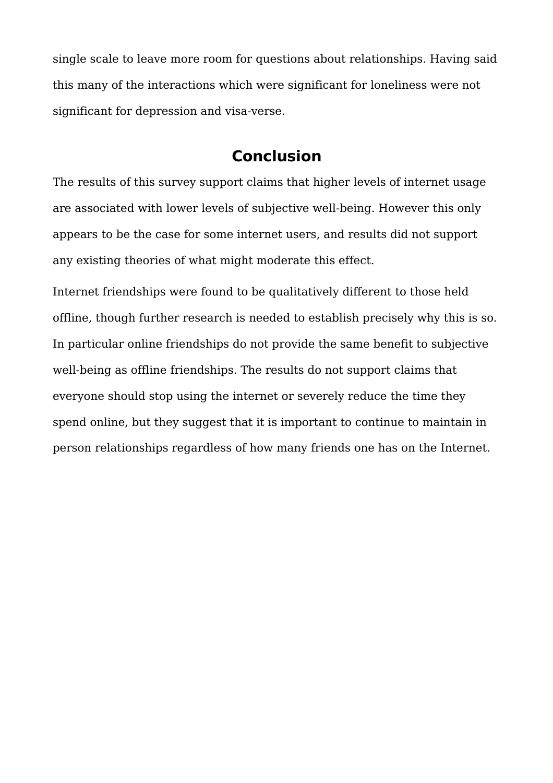single scale to leave more room for questions about relationships. Having said this many of the interactions which were significant for loneliness were not significant for depression and visa-verse.

## **Conclusion**

The results of this survey support claims that higher levels of internet usage are associated with lower levels of subjective well-being. However this only appears to be the case for some internet users, and results did not support any existing theories of what might moderate this effect.

Internet friendships were found to be qualitatively different to those held offline, though further research is needed to establish precisely why this is so. In particular online friendships do not provide the same benefit to subjective well-being as offline friendships. The results do not support claims that everyone should stop using the internet or severely reduce the time they spend online, but they suggest that it is important to continue to maintain in person relationships regardless of how many friends one has on the Internet.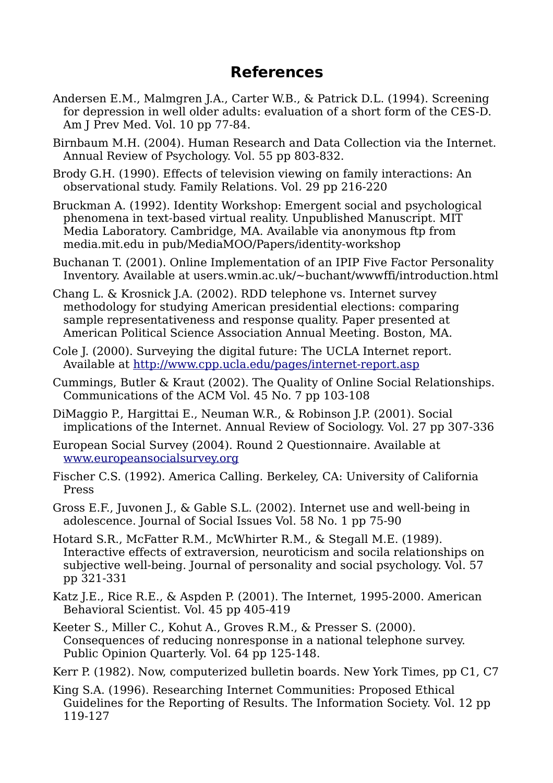## **References**

- Andersen E.M., Malmgren J.A., Carter W.B., & Patrick D.L. (1994). Screening for depression in well older adults: evaluation of a short form of the CES-D. Am J Prev Med. Vol. 10 pp 77-84.
- Birnbaum M.H. (2004). Human Research and Data Collection via the Internet. Annual Review of Psychology. Vol. 55 pp 803-832.
- Brody G.H. (1990). Effects of television viewing on family interactions: An observational study. Family Relations. Vol. 29 pp 216-220
- Bruckman A. (1992). Identity Workshop: Emergent social and psychological phenomena in text-based virtual reality. Unpublished Manuscript. MIT Media Laboratory. Cambridge, MA. Available via anonymous ftp from media.mit.edu in pub/MediaMOO/Papers/identity-workshop
- Buchanan T. (2001). Online Implementation of an IPIP Five Factor Personality Inventory. Available at users.wmin.ac.uk/~buchant/wwwffi/introduction.html
- Chang L. & Krosnick J.A. (2002). RDD telephone vs. Internet survey methodology for studying American presidential elections: comparing sample representativeness and response quality. Paper presented at American Political Science Association Annual Meeting. Boston, MA.
- Cole J. (2000). Surveying the digital future: The UCLA Internet report. Available at <http://www.cpp.ucla.edu/pages/internet-report.asp>
- Cummings, Butler & Kraut (2002). The Quality of Online Social Relationships. Communications of the ACM Vol. 45 No. 7 pp 103-108
- DiMaggio P., Hargittai E., Neuman W.R., & Robinson J.P. (2001). Social implications of the Internet. Annual Review of Sociology. Vol. 27 pp 307-336
- European Social Survey (2004). Round 2 Questionnaire. Available at [www.europeansocialsurvey.org](http://www.europeansocialsurvey.org/)
- Fischer C.S. (1992). America Calling. Berkeley, CA: University of California Press
- Gross E.F., Juvonen J., & Gable S.L. (2002). Internet use and well-being in adolescence. Journal of Social Issues Vol. 58 No. 1 pp 75-90
- Hotard S.R., McFatter R.M., McWhirter R.M., & Stegall M.E. (1989). Interactive effects of extraversion, neuroticism and socila relationships on subjective well-being. Journal of personality and social psychology. Vol. 57 pp 321-331
- Katz J.E., Rice R.E., & Aspden P. (2001). The Internet, 1995-2000. American Behavioral Scientist. Vol. 45 pp 405-419
- Keeter S., Miller C., Kohut A., Groves R.M., & Presser S. (2000). Consequences of reducing nonresponse in a national telephone survey. Public Opinion Quarterly. Vol. 64 pp 125-148.
- Kerr P. (1982). Now, computerized bulletin boards. New York Times, pp C1, C7
- King S.A. (1996). Researching Internet Communities: Proposed Ethical Guidelines for the Reporting of Results. The Information Society. Vol. 12 pp 119-127